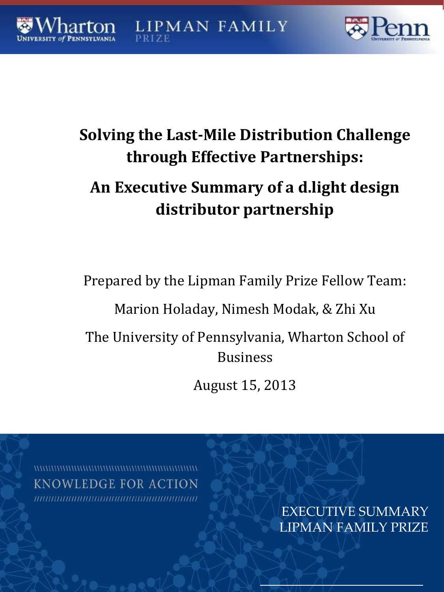# **Solving the Last-Mile Distribution Challenge through Effective Partnerships:**

**LIPMAN FAMILY** 

# **An Executive Summary of a d.light design distributor partnership**

Prepared by the Lipman Family Prize Fellow Team:

Marion Holaday, Nimesh Modak, & Zhi Xu

The University of Pennsylvania, Wharton School of Business

August 15, 2013

**KNOWLEDGE FOR ACTION** 

EXECUTIVE SUMMARY LIPMAN FAMILY PRIZE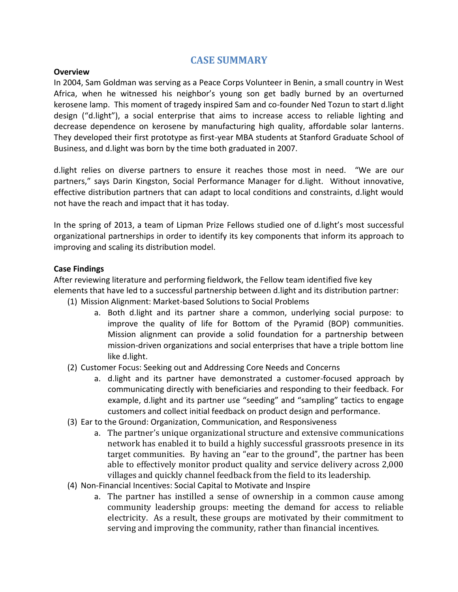## **CASE SUMMARY**

#### **Overview**

In 2004, Sam Goldman was serving as a Peace Corps Volunteer in Benin, a small country in West Africa, when he witnessed his neighbor's young son get badly burned by an overturned kerosene lamp. This moment of tragedy inspired Sam and co-founder Ned Tozun to start d.light design ("d.light"), a social enterprise that aims to increase access to reliable lighting and decrease dependence on kerosene by manufacturing high quality, affordable solar lanterns. They developed their first prototype as first-year MBA students at Stanford Graduate School of Business, and d.light was born by the time both graduated in 2007.

d.light relies on diverse partners to ensure it reaches those most in need. "We are our partners," says Darin Kingston, Social Performance Manager for d.light. Without innovative, effective distribution partners that can adapt to local conditions and constraints, d.light would not have the reach and impact that it has today.

In the spring of 2013, a team of Lipman Prize Fellows studied one of d.light's most successful organizational partnerships in order to identify its key components that inform its approach to improving and scaling its distribution model.

#### **Case Findings**

After reviewing literature and performing fieldwork, the Fellow team identified five key elements that have led to a successful partnership between d.light and its distribution partner:

- (1) Mission Alignment: Market-based Solutions to Social Problems
	- a. Both d.light and its partner share a common, underlying social purpose: to improve the quality of life for Bottom of the Pyramid (BOP) communities. Mission alignment can provide a solid foundation for a partnership between mission-driven organizations and social enterprises that have a triple bottom line like d.light.
- (2) Customer Focus: Seeking out and Addressing Core Needs and Concerns
	- a. d.light and its partner have demonstrated a customer-focused approach by communicating directly with beneficiaries and responding to their feedback. For example, d.light and its partner use "seeding" and "sampling" tactics to engage customers and collect initial feedback on product design and performance.
- (3) Ear to the Ground: Organization, Communication, and Responsiveness
	- a. The partner's unique organizational structure and extensive communications network has enabled it to build a highly successful grassroots presence in its target communities. By having an "ear to the ground", the partner has been able to effectively monitor product quality and service delivery across 2,000 villages and quickly channel feedback from the field to its leadership.
- (4) Non-Financial Incentives: Social Capital to Motivate and Inspire
	- a. The partner has instilled a sense of ownership in a common cause among community leadership groups: meeting the demand for access to reliable electricity. As a result, these groups are motivated by their commitment to serving and improving the community, rather than financial incentives.